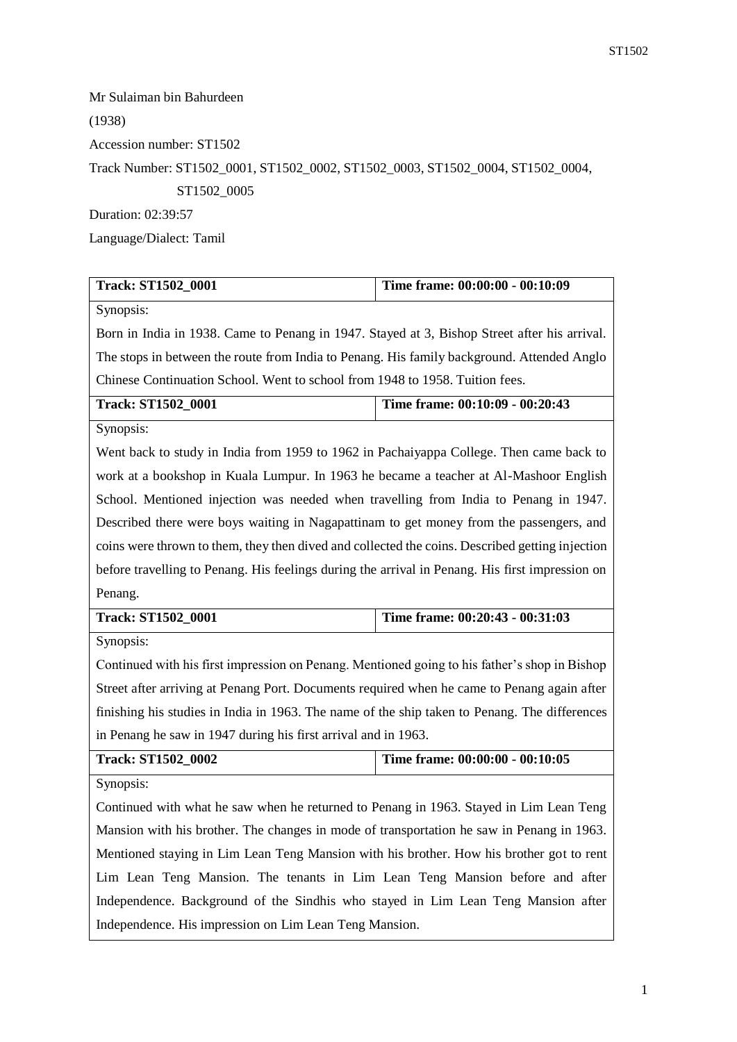Mr Sulaiman bin Bahurdeen (1938) Accession number: ST1502 Track Number: ST1502\_0001, ST1502\_0002, ST1502\_0003, ST1502\_0004, ST1502\_0004, ST1502\_0005 Duration: 02:39:57 Language/Dialect: Tamil

| <b>Track: ST1502_0001</b>                                                                       | Time frame: 00:00:00 - 00:10:09 |  |
|-------------------------------------------------------------------------------------------------|---------------------------------|--|
| Synopsis:                                                                                       |                                 |  |
| Born in India in 1938. Came to Penang in 1947. Stayed at 3, Bishop Street after his arrival.    |                                 |  |
| The stops in between the route from India to Penang. His family background. Attended Anglo      |                                 |  |
| Chinese Continuation School. Went to school from 1948 to 1958. Tuition fees.                    |                                 |  |
| <b>Track: ST1502_0001</b>                                                                       | Time frame: 00:10:09 - 00:20:43 |  |
| Synopsis:                                                                                       |                                 |  |
| Went back to study in India from 1959 to 1962 in Pachaiyappa College. Then came back to         |                                 |  |
| work at a bookshop in Kuala Lumpur. In 1963 he became a teacher at Al-Mashoor English           |                                 |  |
| School. Mentioned injection was needed when travelling from India to Penang in 1947.            |                                 |  |
| Described there were boys waiting in Nagapattinam to get money from the passengers, and         |                                 |  |
| coins were thrown to them, they then dived and collected the coins. Described getting injection |                                 |  |
| before travelling to Penang. His feelings during the arrival in Penang. His first impression on |                                 |  |
| Penang.                                                                                         |                                 |  |
|                                                                                                 |                                 |  |
| <b>Track: ST1502_0001</b>                                                                       | Time frame: 00:20:43 - 00:31:03 |  |
| Synopsis:                                                                                       |                                 |  |
| Continued with his first impression on Penang. Mentioned going to his father's shop in Bishop   |                                 |  |
| Street after arriving at Penang Port. Documents required when he came to Penang again after     |                                 |  |
| finishing his studies in India in 1963. The name of the ship taken to Penang. The differences   |                                 |  |
| in Penang he saw in 1947 during his first arrival and in 1963.                                  |                                 |  |
| <b>Track: ST1502_0002</b>                                                                       | Time frame: 00:00:00 - 00:10:05 |  |
| Synopsis:                                                                                       |                                 |  |
| Continued with what he saw when he returned to Penang in 1963. Stayed in Lim Lean Teng          |                                 |  |
| Mansion with his brother. The changes in mode of transportation he saw in Penang in 1963.       |                                 |  |
| Mentioned staying in Lim Lean Teng Mansion with his brother. How his brother got to rent        |                                 |  |
| Lim Lean Teng Mansion. The tenants in Lim Lean Teng Mansion before and after                    |                                 |  |
| Independence. Background of the Sindhis who stayed in Lim Lean Teng Mansion after               |                                 |  |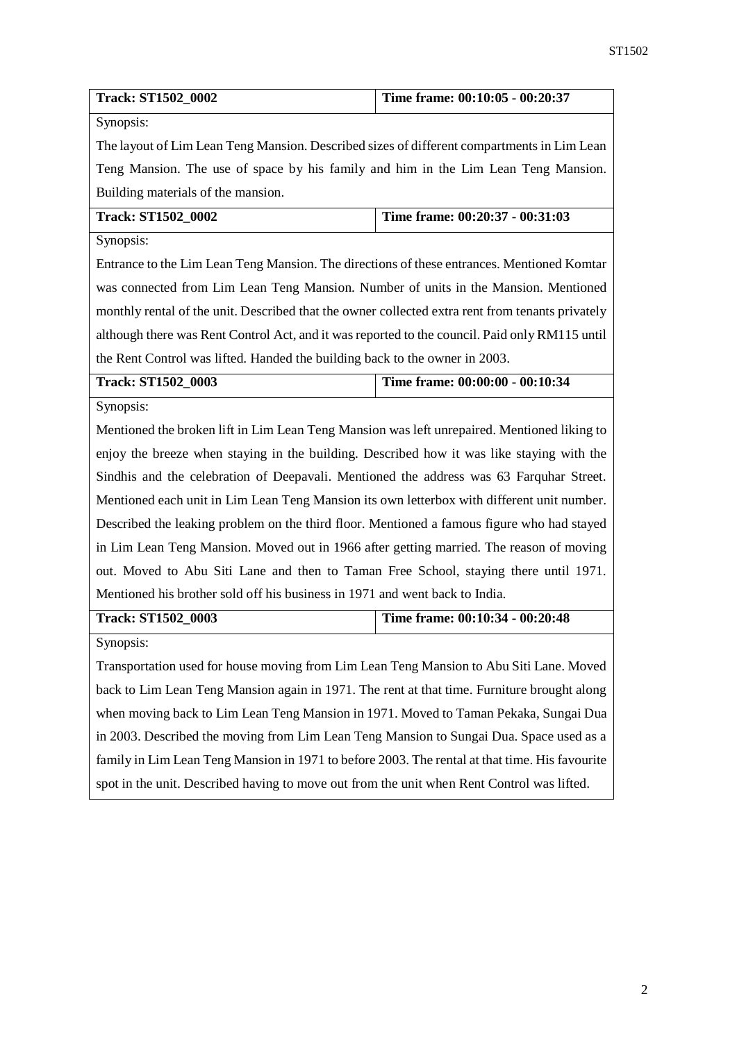| <b>Track: ST1502_0002</b>                                                                        | Time frame: 00:10:05 - 00:20:37                                             |  |  |
|--------------------------------------------------------------------------------------------------|-----------------------------------------------------------------------------|--|--|
| Synopsis:                                                                                        |                                                                             |  |  |
| The layout of Lim Lean Teng Mansion. Described sizes of different compartments in Lim Lean       |                                                                             |  |  |
| Teng Mansion. The use of space by his family and him in the Lim Lean Teng Mansion.               |                                                                             |  |  |
| Building materials of the mansion.                                                               |                                                                             |  |  |
| <b>Track: ST1502_0002</b>                                                                        | Time frame: 00:20:37 - 00:31:03                                             |  |  |
| Synopsis:                                                                                        |                                                                             |  |  |
| Entrance to the Lim Lean Teng Mansion. The directions of these entrances. Mentioned Komtar       |                                                                             |  |  |
| was connected from Lim Lean Teng Mansion. Number of units in the Mansion. Mentioned              |                                                                             |  |  |
| monthly rental of the unit. Described that the owner collected extra rent from tenants privately |                                                                             |  |  |
| although there was Rent Control Act, and it was reported to the council. Paid only RM115 until   |                                                                             |  |  |
|                                                                                                  | the Rent Control was lifted. Handed the building back to the owner in 2003. |  |  |
| <b>Track: ST1502_0003</b>                                                                        | Time frame: 00:00:00 - 00:10:34                                             |  |  |
| Synopsis:                                                                                        |                                                                             |  |  |
| Mentioned the broken lift in Lim Lean Teng Mansion was left unrepaired. Mentioned liking to      |                                                                             |  |  |
| enjoy the breeze when staying in the building. Described how it was like staying with the        |                                                                             |  |  |
| Sindhis and the celebration of Deepavali. Mentioned the address was 63 Farquhar Street.          |                                                                             |  |  |
| Mentioned each unit in Lim Lean Teng Mansion its own letterbox with different unit number.       |                                                                             |  |  |
| Described the leaking problem on the third floor. Mentioned a famous figure who had stayed       |                                                                             |  |  |
| in Lim Lean Teng Mansion. Moved out in 1966 after getting married. The reason of moving          |                                                                             |  |  |
| out. Moved to Abu Siti Lane and then to Taman Free School, staying there until 1971.             |                                                                             |  |  |
| Mentioned his brother sold off his business in 1971 and went back to India.                      |                                                                             |  |  |
| <b>Track: ST1502_0003</b>                                                                        | Time frame: 00:10:34 - 00:20:48                                             |  |  |
| Synopsis:                                                                                        |                                                                             |  |  |
| Transportation used for house moving from Lim Lean Teng Mansion to Abu Siti Lane. Moved          |                                                                             |  |  |
| back to Lim Lean Teng Mansion again in 1971. The rent at that time. Furniture brought along      |                                                                             |  |  |
| when moving back to Lim Lean Teng Mansion in 1971. Moved to Taman Pekaka, Sungai Dua             |                                                                             |  |  |
| in 2003. Described the moving from Lim Lean Teng Mansion to Sungai Dua. Space used as a          |                                                                             |  |  |
| family in Lim Lean Teng Mansion in 1971 to before 2003. The rental at that time. His favourite   |                                                                             |  |  |

spot in the unit. Described having to move out from the unit when Rent Control was lifted.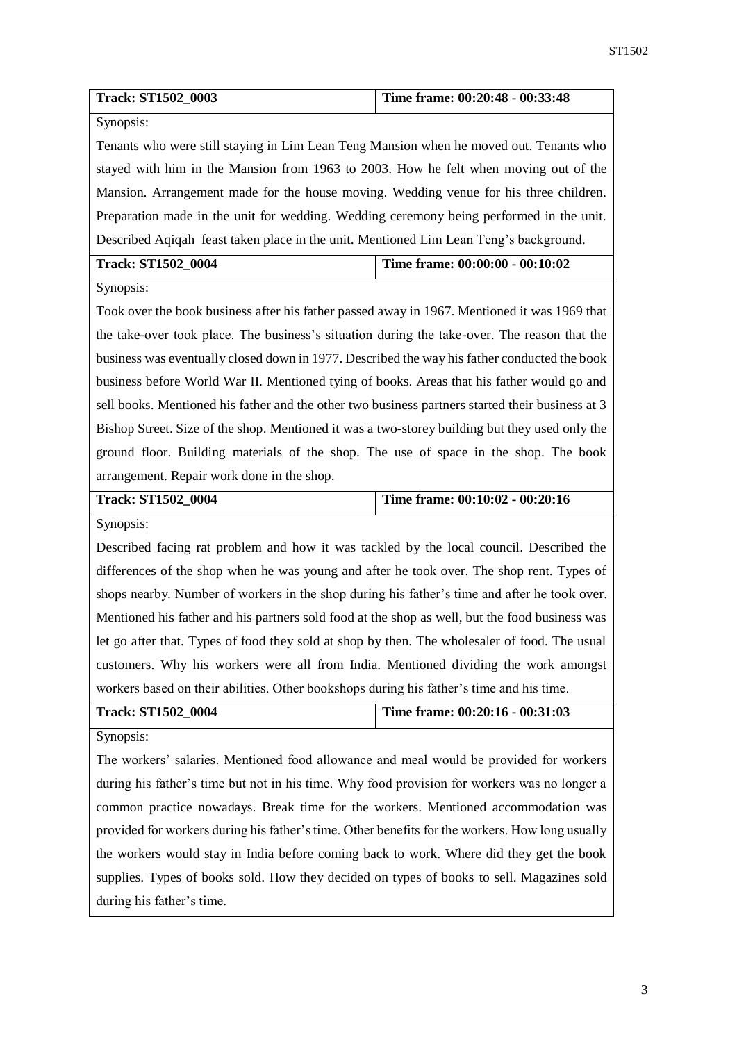| <b>Track: ST1502_0003</b>                                                                        | Time frame: 00:20:48 - 00:33:48                                                            |  |  |
|--------------------------------------------------------------------------------------------------|--------------------------------------------------------------------------------------------|--|--|
| Synopsis:                                                                                        |                                                                                            |  |  |
| Tenants who were still staying in Lim Lean Teng Mansion when he moved out. Tenants who           |                                                                                            |  |  |
| stayed with him in the Mansion from 1963 to 2003. How he felt when moving out of the             |                                                                                            |  |  |
| Mansion. Arrangement made for the house moving. Wedding venue for his three children.            |                                                                                            |  |  |
| Preparation made in the unit for wedding. Wedding ceremony being performed in the unit.          |                                                                                            |  |  |
| Described Aqiqah feast taken place in the unit. Mentioned Lim Lean Teng's background.            |                                                                                            |  |  |
| <b>Track: ST1502_0004</b>                                                                        | Time frame: 00:00:00 - 00:10:02                                                            |  |  |
| Synopsis:                                                                                        |                                                                                            |  |  |
| Took over the book business after his father passed away in 1967. Mentioned it was 1969 that     |                                                                                            |  |  |
| the take-over took place. The business's situation during the take-over. The reason that the     |                                                                                            |  |  |
| business was eventually closed down in 1977. Described the way his father conducted the book     |                                                                                            |  |  |
|                                                                                                  | business before World War II. Mentioned tying of books. Areas that his father would go and |  |  |
| sell books. Mentioned his father and the other two business partners started their business at 3 |                                                                                            |  |  |
| Bishop Street. Size of the shop. Mentioned it was a two-storey building but they used only the   |                                                                                            |  |  |
| ground floor. Building materials of the shop. The use of space in the shop. The book             |                                                                                            |  |  |
| arrangement. Repair work done in the shop.                                                       |                                                                                            |  |  |
|                                                                                                  |                                                                                            |  |  |
| <b>Track: ST1502_0004</b>                                                                        | Time frame: 00:10:02 - 00:20:16                                                            |  |  |
| Synopsis:                                                                                        |                                                                                            |  |  |
| Described facing rat problem and how it was tackled by the local council. Described the          |                                                                                            |  |  |
| differences of the shop when he was young and after he took over. The shop rent. Types of        |                                                                                            |  |  |
| shops nearby. Number of workers in the shop during his father's time and after he took over.     |                                                                                            |  |  |
| Mentioned his father and his partners sold food at the shop as well, but the food business was   |                                                                                            |  |  |
| let go after that. Types of food they sold at shop by then. The wholesaler of food. The usual    |                                                                                            |  |  |
| customers. Why his workers were all from India. Mentioned dividing the work amongst              |                                                                                            |  |  |
| workers based on their abilities. Other bookshops during his father's time and his time.         |                                                                                            |  |  |
| <b>Track: ST1502_0004</b>                                                                        | Time frame: 00:20:16 - 00:31:03                                                            |  |  |
| Synopsis:                                                                                        |                                                                                            |  |  |
| The workers' salaries. Mentioned food allowance and meal would be provided for workers           |                                                                                            |  |  |
| during his father's time but not in his time. Why food provision for workers was no longer a     |                                                                                            |  |  |
| common practice nowadays. Break time for the workers. Mentioned accommodation was                |                                                                                            |  |  |
| provided for workers during his father's time. Other benefits for the workers. How long usually  |                                                                                            |  |  |
| the workers would stay in India before coming back to work. Where did they get the book          |                                                                                            |  |  |

during his father's time.